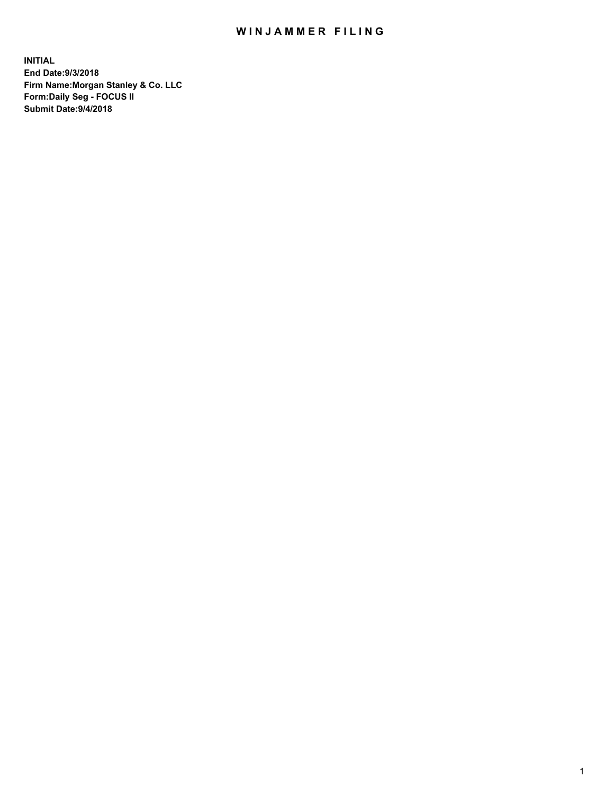# WIN JAMMER FILING

**INITIAL End Date:9/3/2018 Firm Name:Morgan Stanley & Co. LLC Form:Daily Seg - FOCUS II Submit Date:9/4/2018**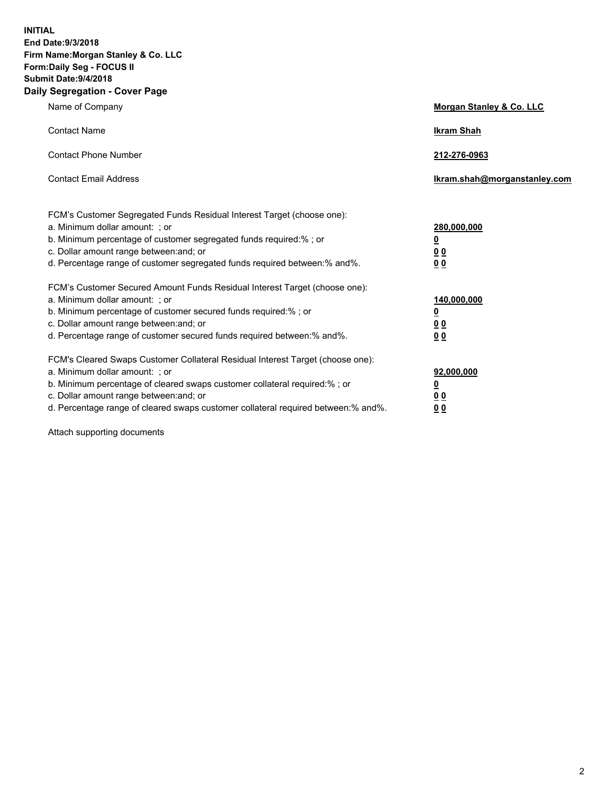**INITIAL End Date:9/3/2018 Firm Name:Morgan Stanley & Co. LLC Form:Daily Seg - FOCUS II Submit Date:9/4/2018 Daily Segregation - Cover Page**

| Name of Company                                                                                                                                                                                                                                                                                                                | Morgan Stanley & Co. LLC                                    |
|--------------------------------------------------------------------------------------------------------------------------------------------------------------------------------------------------------------------------------------------------------------------------------------------------------------------------------|-------------------------------------------------------------|
| <b>Contact Name</b>                                                                                                                                                                                                                                                                                                            | <b>Ikram Shah</b>                                           |
| <b>Contact Phone Number</b>                                                                                                                                                                                                                                                                                                    | 212-276-0963                                                |
| <b>Contact Email Address</b>                                                                                                                                                                                                                                                                                                   | Ikram.shah@morganstanley.com                                |
| FCM's Customer Segregated Funds Residual Interest Target (choose one):<br>a. Minimum dollar amount: ; or<br>b. Minimum percentage of customer segregated funds required:% ; or<br>c. Dollar amount range between: and; or<br>d. Percentage range of customer segregated funds required between:% and%.                         | 280,000,000<br><u>0</u><br>0 <sub>0</sub><br>00             |
| FCM's Customer Secured Amount Funds Residual Interest Target (choose one):<br>a. Minimum dollar amount: ; or<br>b. Minimum percentage of customer secured funds required:% ; or<br>c. Dollar amount range between: and; or<br>d. Percentage range of customer secured funds required between:% and%.                           | 140,000,000<br><u>0</u><br>0 <sub>0</sub><br>0 <sub>0</sub> |
| FCM's Cleared Swaps Customer Collateral Residual Interest Target (choose one):<br>a. Minimum dollar amount: ; or<br>b. Minimum percentage of cleared swaps customer collateral required:% ; or<br>c. Dollar amount range between: and; or<br>d. Percentage range of cleared swaps customer collateral required between:% and%. | 92,000,000<br><u>0</u><br>0 Q<br>0 <sub>0</sub>             |

Attach supporting documents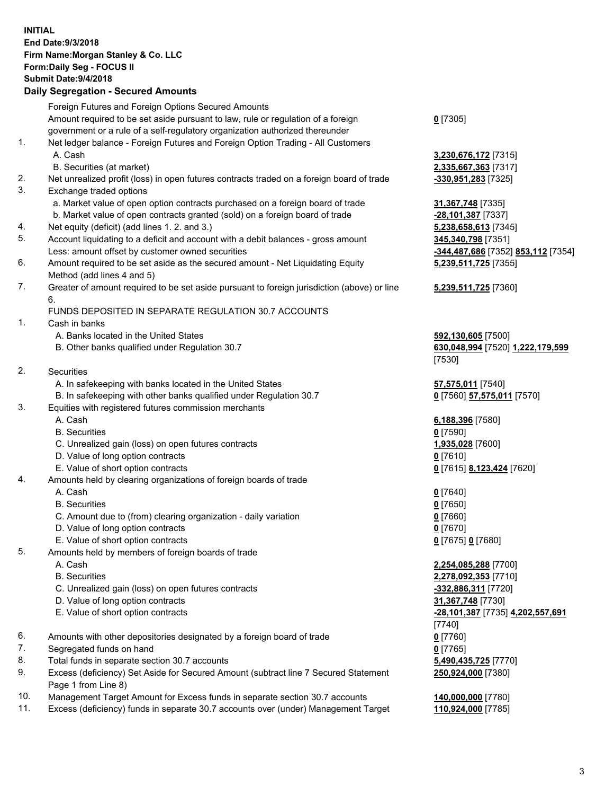## **INITIAL End Date:9/3/2018 Firm Name:Morgan Stanley & Co. LLC Form:Daily Seg - FOCUS II Submit Date:9/4/2018 Daily Segregation - Secured Amounts** Foreign Futures and Foreign Options Secured Amounts Amount required to be set aside pursuant to law, rule or regulation of a foreign government or a rule of a self-regulatory organization authorized thereunder 1. Net ledger balance - Foreign Futures and Foreign Option Trading - All Customers A. Cash **3,230,676,172** [7315] B. Securities (at market) **2,335,667,363** [7317] 2. Net unrealized profit (loss) in open futures contracts traded on a foreign board of trade **-330,951,283** [7325] 3. Exchange traded options a. Market value of open option contracts purchased on a foreign board of trade **31,367,748** [7335] b. Market value of open contracts granted (sold) on a foreign board of trade **-28,101,387** [7337] 4. Net equity (deficit) (add lines 1. 2. and 3.) **5,238,658,613** [7345] 5. Account liquidating to a deficit and account with a debit balances - gross amount **345,340,798** [7351] Less: amount offset by customer owned securities **-344,487,686** [7352] **853,112** [7354] 6. Amount required to be set aside as the secured amount - Net Liquidating Equity Method (add lines 4 and 5) 7. Greater of amount required to be set aside pursuant to foreign jurisdiction (above) or line 6. FUNDS DEPOSITED IN SEPARATE REGULATION 30.7 ACCOUNTS 1. Cash in banks A. Banks located in the United States **592,130,605** [7500] B. Other banks qualified under Regulation 30.7 **630,048,994** [7520] **1,222,179,599** 2. Securities A. In safekeeping with banks located in the United States **57,575,011** [7540] B. In safekeeping with other banks qualified under Regulation 30.7 **0** [7560] **57,575,011** [7570]

### 3. Equities with registered futures commission merchants

- 
- B. Securities **0** [7590]
- C. Unrealized gain (loss) on open futures contracts **1,935,028** [7600]
- D. Value of long option contracts **0** [7610]
- E. Value of short option contracts **0** [7615] **8,123,424** [7620]
- 4. Amounts held by clearing organizations of foreign boards of trade

#### A. Cash **0** [7640]

- B. Securities **0** [7650]
- C. Amount due to (from) clearing organization daily variation **0** [7660]
- D. Value of long option contracts **0** [7670]
- E. Value of short option contracts **0** [7675] **0** [7680]
- 5. Amounts held by members of foreign boards of trade
	-
	-
	- C. Unrealized gain (loss) on open futures contracts **-332,886,311** [7720]
	- D. Value of long option contracts **31,367,748** [7730]
	-
- 6. Amounts with other depositories designated by a foreign board of trade **0** [7760]
- 7. Segregated funds on hand **0** [7765]
- 8. Total funds in separate section 30.7 accounts **5,490,435,725** [7770]
- 9. Excess (deficiency) Set Aside for Secured Amount (subtract line 7 Secured Statement Page 1 from Line 8)
- 10. Management Target Amount for Excess funds in separate section 30.7 accounts **140,000,000** [7780]
- 11. Excess (deficiency) funds in separate 30.7 accounts over (under) Management Target **110,924,000** [7785]

**0** [7305]

**5,239,511,725** [7355]

## **5,239,511,725** [7360]

[7530]

A. Cash **6,188,396** [7580]

 A. Cash **2,254,085,288** [7700] B. Securities **2,278,092,353** [7710] E. Value of short option contracts **-28,101,387** [7735] **4,202,557,691** [7740] **250,924,000** [7380]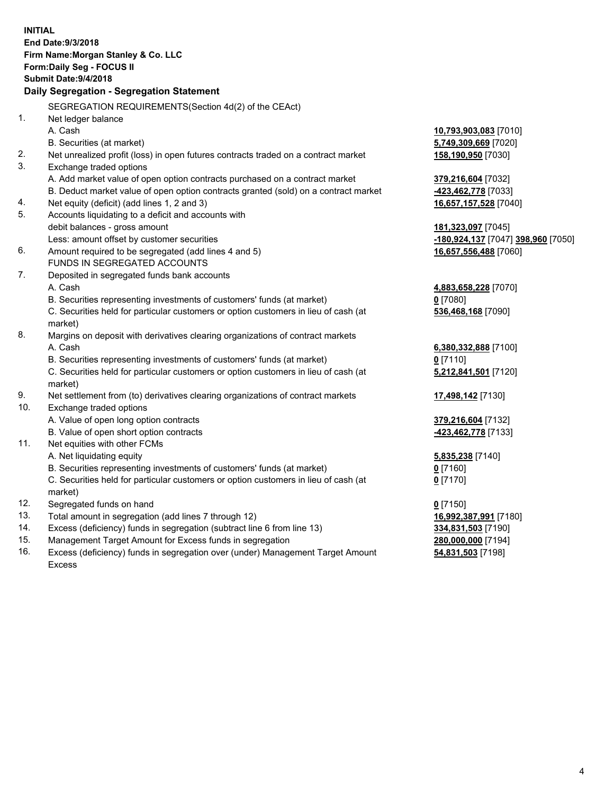|     | <b>INITIAL</b>                                                                                 |                                                 |
|-----|------------------------------------------------------------------------------------------------|-------------------------------------------------|
|     | End Date: 9/3/2018                                                                             |                                                 |
|     | Firm Name: Morgan Stanley & Co. LLC                                                            |                                                 |
|     | Form: Daily Seg - FOCUS II                                                                     |                                                 |
|     | <b>Submit Date: 9/4/2018</b>                                                                   |                                                 |
|     | Daily Segregation - Segregation Statement                                                      |                                                 |
|     |                                                                                                |                                                 |
|     | SEGREGATION REQUIREMENTS(Section 4d(2) of the CEAct)                                           |                                                 |
| 1.  | Net ledger balance                                                                             |                                                 |
|     | A. Cash                                                                                        | 10,793,903,083 [7010]                           |
|     | B. Securities (at market)                                                                      | 5,749,309,669 [7020]                            |
| 2.  | Net unrealized profit (loss) in open futures contracts traded on a contract market             | 158,190,950 [7030]                              |
| 3.  | Exchange traded options                                                                        |                                                 |
|     | A. Add market value of open option contracts purchased on a contract market                    | 379,216,604 [7032]                              |
|     | B. Deduct market value of open option contracts granted (sold) on a contract market            | -423,462,778 [7033]                             |
| 4.  | Net equity (deficit) (add lines 1, 2 and 3)                                                    | 16,657,157,528 [7040]                           |
| 5.  | Accounts liquidating to a deficit and accounts with                                            |                                                 |
|     | debit balances - gross amount                                                                  | 181,323,097 [7045]                              |
|     | Less: amount offset by customer securities                                                     | <mark>-180,924,137</mark> [7047] 398,960 [7050] |
| 6.  | Amount required to be segregated (add lines 4 and 5)                                           | 16,657,556,488 [7060]                           |
|     | FUNDS IN SEGREGATED ACCOUNTS                                                                   |                                                 |
| 7.  | Deposited in segregated funds bank accounts                                                    |                                                 |
|     | A. Cash                                                                                        | 4,883,658,228 [7070]                            |
|     | B. Securities representing investments of customers' funds (at market)                         | $0$ [7080]                                      |
|     | C. Securities held for particular customers or option customers in lieu of cash (at<br>market) | 536,468,168 [7090]                              |
| 8.  | Margins on deposit with derivatives clearing organizations of contract markets                 |                                                 |
|     | A. Cash                                                                                        | 6,380,332,888 [7100]                            |
|     | B. Securities representing investments of customers' funds (at market)                         | $0$ [7110]                                      |
|     | C. Securities held for particular customers or option customers in lieu of cash (at            | 5,212,841,501 [7120]                            |
|     | market)                                                                                        |                                                 |
| 9.  | Net settlement from (to) derivatives clearing organizations of contract markets                | 17,498,142 <sub>[7130]</sub>                    |
| 10. | Exchange traded options                                                                        |                                                 |
|     | A. Value of open long option contracts                                                         | 379,216,604 [7132]                              |
|     | B. Value of open short option contracts                                                        | -423,462,778 [7133]                             |
| 11. | Net equities with other FCMs                                                                   |                                                 |
|     | A. Net liquidating equity                                                                      | 5,835,238 [7140]                                |
|     | B. Securities representing investments of customers' funds (at market)                         | 0 [7160]                                        |
|     | C. Securities held for particular customers or option customers in lieu of cash (at            | $0$ [7170]                                      |
|     | market)                                                                                        |                                                 |
| 12. | Segregated funds on hand                                                                       | $0$ [7150]                                      |
| 13. | Total amount in segregation (add lines 7 through 12)                                           | 16,992,387,991 [7180]                           |
| 14. | Excess (deficiency) funds in segregation (subtract line 6 from line 13)                        | 334,831,503 [7190]                              |
| 15. | Management Target Amount for Excess funds in segregation                                       | 280,000,000 [7194]                              |

16. Excess (deficiency) funds in segregation over (under) Management Target Amount Excess

**54,831,503** [7198]